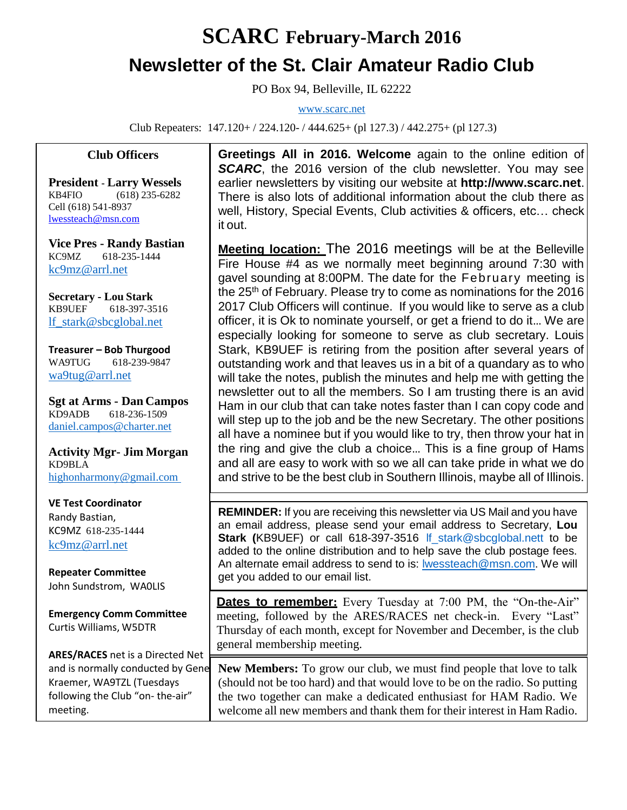## **SCARC February-March 2016 Newsletter of the St. Clair Amateur Radio Club**

PO Box 94, Belleville, IL 62222

[www.scarc.net](http://www.scarc.net/)

Club Repeaters: 147.120+ / 224.120- / 444.625+ (pl 127.3) / 442.275+ (pl 127.3)

## **Club Officers**

**President - Larry Wessels** KB4FIO (618) 235-6282 Cell (618) 541-8937 [lwessteach@msn.com](mailto:lwessteach@msn.com)

**Vice Pres - Randy Bastian** KC9MZ 618-235-1444 [kc9mz@arrl.net](mailto:kc9mz@arrl.net)

**Secretary - Lou Stark** KB9UEF 618-397-3516 [lf\\_stark@sbcglobal.net](mailto:lf_stark@sbcglobal.net)

**Treasurer – Bob Thurgood** WA9TUG 618-239-9847 [wa9tug@arrl.net](mailto:wa9tug@arrl.net)

**Sgt at Arms - Dan Campos** KD9ADB 618-236-1509 daniel.campos@charter.net

**Activity Mgr- Jim Morgan** KD9BLA [highonharmony@gmail.com](mailto:highonharmony@gmail.com)

**VE Test Coordinator** Randy Bastian, KC9MZ 618-235-1444 [kc9mz@arrl.net](mailto:kc9mz@arrl.net)

**Repeater Committee** John Sundstrom, WA0LIS

**Emergency Comm Committee** Curtis Williams, W5DTR

**ARES/RACES** net is a Directed Net and is normally conducted by Gene Kraemer, WA9TZL (Tuesdays following the Club "on- the-air" meeting.

**Greetings All in 2016. Welcome** again to the online edition of **SCARC**, the 2016 version of the club newsletter. You may see earlier newsletters by visiting our website at **[http://www.scarc.net](http://www.scarc.net/)**. There is also lots of additional information about the club there as well, History, Special Events, Club activities & officers, etc… check it out.

**Meeting location:** The 2016 meetings will be at the Belleville Fire House #4 as we normally meet beginning around 7:30 with gavel sounding at 8:00PM. The date for the February meeting is the 25<sup>th</sup> of February. Please try to come as nominations for the 2016 2017 Club Officers will continue. If you would like to serve as a club officer, it is Ok to nominate yourself, or get a friend to do it… We are especially looking for someone to serve as club secretary. Louis Stark, KB9UEF is retiring from the position after several years of outstanding work and that leaves us in a bit of a quandary as to who will take the notes, publish the minutes and help me with getting the newsletter out to all the members. So I am trusting there is an avid Ham in our club that can take notes faster than I can copy code and will step up to the job and be the new Secretary. The other positions all have a nominee but if you would like to try, then throw your hat in the ring and give the club a choice… This is a fine group of Hams and all are easy to work with so we all can take pride in what we do and strive to be the best club in Southern Illinois, maybe all of Illinois.

**REMINDER:** If you are receiving this newsletter via US Mail and you have an email address, please send your email address to Secretary, **Lou Stark (**KB9UEF) or call 618-397-3516 [lf\\_stark@sbcglobal.nett](mailto:lf_stark@sbcglobal.net) to be added to the online distribution and to help save the club postage fees. An alternate email address to send to is: [lwessteach@msn.com.](mailto:lwessteach@msn.com) We will get you added to our email list.

**Dates to remember:** Every Tuesday at 7:00 PM, the "On-the-Air" meeting, followed by the ARES/RACES net check-in. Every "Last" Thursday of each month, except for November and December, is the club general membership meeting.

**New Members:** To grow our club, we must find people that love to talk (should not be too hard) and that would love to be on the radio. So putting the two together can make a dedicated enthusiast for HAM Radio. We welcome all new members and thank them for their interest in Ham Radio.